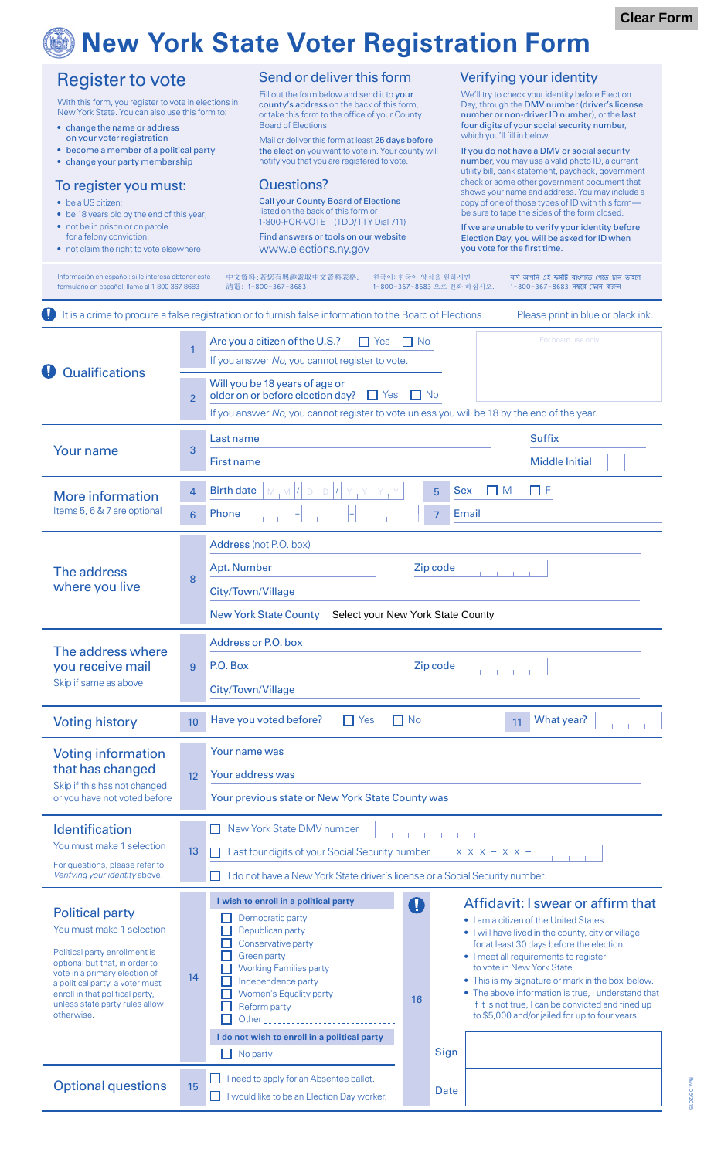# **New York State Voter Registration Form**

|                                                                                                                                                                                                                                                                                                                                                                                                                                                                                                                                                                                              |                                  | 100110910                                                                                                                                                                                                                                                                                                                                                                                                                                                                                                                                                                                                                   |           | <u><b>THATH</b></u>                             |                                                                                                                                                                                                                                                                                                                                                                                                                                                                                                                                                                                                                                                                                                                                                                                                                                            |  |
|----------------------------------------------------------------------------------------------------------------------------------------------------------------------------------------------------------------------------------------------------------------------------------------------------------------------------------------------------------------------------------------------------------------------------------------------------------------------------------------------------------------------------------------------------------------------------------------------|----------------------------------|-----------------------------------------------------------------------------------------------------------------------------------------------------------------------------------------------------------------------------------------------------------------------------------------------------------------------------------------------------------------------------------------------------------------------------------------------------------------------------------------------------------------------------------------------------------------------------------------------------------------------------|-----------|-------------------------------------------------|--------------------------------------------------------------------------------------------------------------------------------------------------------------------------------------------------------------------------------------------------------------------------------------------------------------------------------------------------------------------------------------------------------------------------------------------------------------------------------------------------------------------------------------------------------------------------------------------------------------------------------------------------------------------------------------------------------------------------------------------------------------------------------------------------------------------------------------------|--|
| <b>Register to vote</b><br>With this form, you register to vote in elections in<br>New York State. You can also use this form to:<br>• change the name or address<br>on your voter registration<br>• become a member of a political party<br>• change your party membership<br>To register you must:<br>• be a US citizen;<br>• be 18 years old by the end of this year;<br>• not be in prison or on parole<br>for a felony conviction;<br>• not claim the right to vote elsewhere.<br>Información en español: si le interesa obtener este<br>formulario en español, llame al 1-800-367-8683 |                                  | Send or deliver this form<br>Fill out the form below and send it to your<br>county's address on the back of this form,<br>or take this form to the office of your County<br><b>Board of Elections.</b><br>Mail or deliver this form at least 25 days before<br>the election you want to vote in. Your county will<br>notify you that you are registered to vote.<br><b>Questions?</b><br><b>Call your County Board of Elections</b><br>listed on the back of this form or<br>1-800-FOR-VOTE (TDD/TTY Dial 711)<br>Find answers or tools on our website<br>www.elections.ny.gov<br>中文資料:若您有興趣索取中文資料表格,<br>請電: 1-800-367-8683 |           | 한국어: 한국어 양식을 원하시면<br>1-800-367-8683 으로 전화 하십시오. | Verifying your identity<br>We'll try to check your identity before Election<br>Day, through the DMV number (driver's license<br>number or non-driver ID number), or the last<br>four digits of your social security number,<br>which you'll fill in below.<br>If you do not have a DMV or social security<br>number, you may use a valid photo ID, a current<br>utility bill, bank statement, paycheck, government<br>check or some other government document that<br>shows your name and address. You may include a<br>copy of one of those types of ID with this form-<br>be sure to tape the sides of the form closed.<br>If we are unable to verify your identity before<br>Election Day, you will be asked for ID when<br>you vote for the first time.<br>যদি আপনি এই ফৰ্মটি বাংলাতে পেতে চান তাহলে<br>1-800-367-8683 নম্বরে ফোন করুন |  |
|                                                                                                                                                                                                                                                                                                                                                                                                                                                                                                                                                                                              |                                  | It is a crime to procure a false registration or to furnish false information to the Board of Elections.                                                                                                                                                                                                                                                                                                                                                                                                                                                                                                                    |           |                                                 | Please print in blue or black ink.                                                                                                                                                                                                                                                                                                                                                                                                                                                                                                                                                                                                                                                                                                                                                                                                         |  |
| <b>Qualifications</b>                                                                                                                                                                                                                                                                                                                                                                                                                                                                                                                                                                        | 1<br>$\overline{2}$              | For board use only<br>Are you a citizen of the U.S.?<br>$\prod$ Yes<br>$\Box$ No<br>If you answer No, you cannot register to vote.<br>Will you be 18 years of age or<br>$\Box$ Yes<br>$\neg$ No<br>older on or before election day?                                                                                                                                                                                                                                                                                                                                                                                         |           |                                                 |                                                                                                                                                                                                                                                                                                                                                                                                                                                                                                                                                                                                                                                                                                                                                                                                                                            |  |
| <b>Your name</b>                                                                                                                                                                                                                                                                                                                                                                                                                                                                                                                                                                             | 3                                | If you answer No, you cannot register to vote unless you will be 18 by the end of the year.<br>Last name<br><b>First name</b>                                                                                                                                                                                                                                                                                                                                                                                                                                                                                               |           |                                                 | <b>Suffix</b><br><b>Middle Initial</b>                                                                                                                                                                                                                                                                                                                                                                                                                                                                                                                                                                                                                                                                                                                                                                                                     |  |
| <b>More information</b><br>Items 5, 6 & 7 are optional                                                                                                                                                                                                                                                                                                                                                                                                                                                                                                                                       | $\overline{4}$<br>$6\phantom{1}$ | <b>Birth date</b><br>$M, M$ $ 1 $ $D, D$ $ 1 $<br>$Y_{1}Y_{1}$<br>Phone                                                                                                                                                                                                                                                                                                                                                                                                                                                                                                                                                     |           | Sex<br>5<br>Email<br>$\overline{7}$             | $\Box$ F<br><b>IM</b>                                                                                                                                                                                                                                                                                                                                                                                                                                                                                                                                                                                                                                                                                                                                                                                                                      |  |
| The address<br>where you live                                                                                                                                                                                                                                                                                                                                                                                                                                                                                                                                                                | 8                                | Address (not P.O. box)<br>Zip code<br>Apt. Number<br>City/Town/Village<br><b>New York State County</b><br>Select your New York State County                                                                                                                                                                                                                                                                                                                                                                                                                                                                                 |           |                                                 |                                                                                                                                                                                                                                                                                                                                                                                                                                                                                                                                                                                                                                                                                                                                                                                                                                            |  |
| The address where<br>you receive mail<br>Skip if same as above                                                                                                                                                                                                                                                                                                                                                                                                                                                                                                                               | 9                                | Address or P.O. box<br>P.O. Box<br>Zip code<br>City/Town/Village                                                                                                                                                                                                                                                                                                                                                                                                                                                                                                                                                            |           |                                                 |                                                                                                                                                                                                                                                                                                                                                                                                                                                                                                                                                                                                                                                                                                                                                                                                                                            |  |
| <b>Voting history</b>                                                                                                                                                                                                                                                                                                                                                                                                                                                                                                                                                                        | 10                               | Have you voted before?<br>$\Box$ Yes                                                                                                                                                                                                                                                                                                                                                                                                                                                                                                                                                                                        | $\Box$ No |                                                 | What year?<br>11                                                                                                                                                                                                                                                                                                                                                                                                                                                                                                                                                                                                                                                                                                                                                                                                                           |  |
| <b>Voting information</b><br>that has changed<br>Skip if this has not changed<br>or you have not voted before                                                                                                                                                                                                                                                                                                                                                                                                                                                                                | 12                               | Your name was<br>Your address was<br>Your previous state or New York State County was                                                                                                                                                                                                                                                                                                                                                                                                                                                                                                                                       |           |                                                 |                                                                                                                                                                                                                                                                                                                                                                                                                                                                                                                                                                                                                                                                                                                                                                                                                                            |  |
| <b>Identification</b><br>You must make 1 selection<br>For questions, please refer to<br>Verifying your identity above.                                                                                                                                                                                                                                                                                                                                                                                                                                                                       | 13                               | New York State DMV number<br>Last four digits of your Social Security number<br>$X$ $X$ $X$ - $X$ $X$ -<br>I do not have a New York State driver's license or a Social Security number.                                                                                                                                                                                                                                                                                                                                                                                                                                     |           |                                                 |                                                                                                                                                                                                                                                                                                                                                                                                                                                                                                                                                                                                                                                                                                                                                                                                                                            |  |
| <b>Political party</b><br>You must make 1 selection<br>Political party enrollment is<br>optional but that, in order to<br>vote in a primary election of<br>a political party, a voter must<br>enroll in that political party,<br>unless state party rules allow<br>otherwise.                                                                                                                                                                                                                                                                                                                | 14                               | I wish to enroll in a political party<br>Democratic party<br>Republican party<br>Conservative party<br><b>Green party</b><br><b>Working Families party</b><br>Independence party<br>Women's Equality party<br>Reform party<br>Other the contract of the contract of the contract of the contract of the contract of the contract of the contract of the contract of the contract of the contract of the contract of the contract of the contract of the cont<br>I do not wish to enroll in a political party<br>No party                                                                                                    | A<br>16   | Sign                                            | Affidavit: I swear or affirm that<br>. I am a citizen of the United States.<br>• I will have lived in the county, city or village<br>for at least 30 days before the election.<br>• I meet all requirements to register<br>to vote in New York State.<br>• This is my signature or mark in the box below.<br>• The above information is true, I understand that<br>if it is not true, I can be convicted and fined up<br>to \$5,000 and/or jailed for up to four years.                                                                                                                                                                                                                                                                                                                                                                    |  |
| <b>Optional questions</b>                                                                                                                                                                                                                                                                                                                                                                                                                                                                                                                                                                    | 15                               | $\Box$ I need to apply for an Absentee ballot.<br>I would like to be an Election Day worker.                                                                                                                                                                                                                                                                                                                                                                                                                                                                                                                                |           | <b>Date</b>                                     |                                                                                                                                                                                                                                                                                                                                                                                                                                                                                                                                                                                                                                                                                                                                                                                                                                            |  |

Rev. 09/2015 Rev. 09/2015